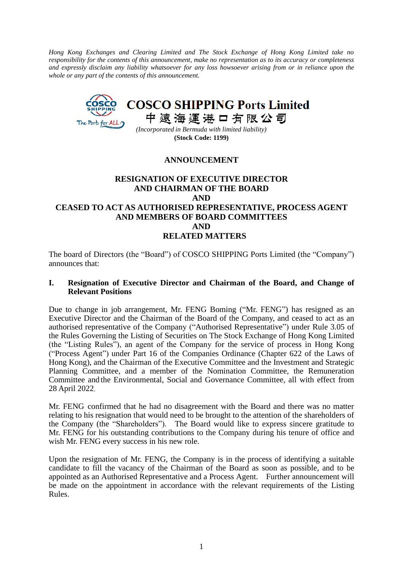*Hong Kong Exchanges and Clearing Limited and The Stock Exchange of Hong Kong Limited take no responsibility for the contents of this announcement, make no representation as to its accuracy or completeness and expressly disclaim any liability whatsoever for any loss howsoever arising from or in reliance upon the whole or any part of the contents of this announcement.*



**(Stock Code: 1199)**

# **ANNOUNCEMENT**

## **RESIGNATION OF EXECUTIVE DIRECTOR AND CHAIRMAN OF THE BOARD AND CEASED TO ACT AS AUTHORISED REPRESENTATIVE, PROCESS AGENT AND MEMBERS OF BOARD COMMITTEES AND RELATED MATTERS**

The board of Directors (the "Board") of COSCO SHIPPING Ports Limited (the "Company") announces that:

### **I. Resignation of Executive Director and Chairman of the Board, and Change of Relevant Positions**

Due to change in job arrangement, Mr. FENG Boming ("Mr. FENG") has resigned as an Executive Director and the Chairman of the Board of the Company, and ceased to act as an authorised representative of the Company ("Authorised Representative") under Rule 3.05 of the Rules Governing the Listing of Securities on The Stock Exchange of Hong Kong Limited (the "Listing Rules"), an agent of the Company for the service of process in Hong Kong ("Process Agent") under Part 16 of the Companies Ordinance (Chapter 622 of the Laws of Hong Kong), and the Chairman of the Executive Committee and the Investment and Strategic Planning Committee, and a member of the Nomination Committee, the Remuneration Committee and the Environmental, Social and Governance Committee, all with effect from 28 April 2022.

Mr. FENG confirmed that he had no disagreement with the Board and there was no matter relating to his resignation that would need to be brought to the attention of the shareholders of the Company (the "Shareholders"). The Board would like to express sincere gratitude to Mr. FENG for his outstanding contributions to the Company during his tenure of office and wish Mr. FENG every success in his new role.

Upon the resignation of Mr. FENG, the Company is in the process of identifying a suitable candidate to fill the vacancy of the Chairman of the Board as soon as possible, and to be appointed as an Authorised Representative and a Process Agent. Further announcement will be made on the appointment in accordance with the relevant requirements of the Listing Rules.